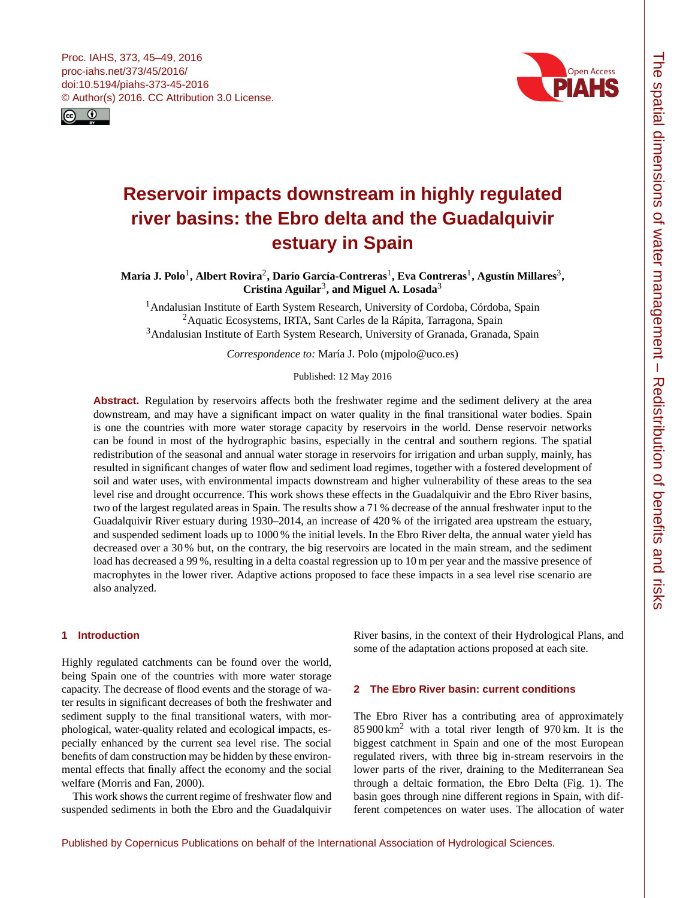<span id="page-0-1"></span>



# **Reservoir impacts downstream in highly regulated river basins: the Ebro delta and the Guadalquivir estuary in Spain**

María J. Polo<sup>[1](#page-0-0)</sup>, Albert Rovira<sup>[2](#page-0-0)</sup>, Darío García-Contreras<sup>1</sup>, Eva Contreras<sup>1</sup>, Agustín Millares<sup>[3](#page-0-0)</sup>, **Cristina Aguilar**[3](#page-0-0) **, and Miguel A. Losada**[3](#page-0-0)

<sup>1</sup> Andalusian Institute of Earth System Research, University of Cordoba, Córdoba, Spain  $2A$ quatic Ecosystems, IRTA, Sant Carles de la Rápita, Tarragona, Spain <sup>3</sup>Andalusian Institute of Earth System Research, University of Granada, Granada, Spain

*Correspondence to:* María J. Polo (mjpolo@uco.es)

Published: 12 May 2016

**Abstract.** Regulation by reservoirs affects both the freshwater regime and the sediment delivery at the area downstream, and may have a significant impact on water quality in the final transitional water bodies. Spain is one the countries with more water storage capacity by reservoirs in the world. Dense reservoir networks can be found in most of the hydrographic basins, especially in the central and southern regions. The spatial redistribution of the seasonal and annual water storage in reservoirs for irrigation and urban supply, mainly, has resulted in significant changes of water flow and sediment load regimes, together with a fostered development of soil and water uses, with environmental impacts downstream and higher vulnerability of these areas to the sea level rise and drought occurrence. This work shows these effects in the Guadalquivir and the Ebro River basins, two of the largest regulated areas in Spain. The results show a 71 % decrease of the annual freshwater input to the Guadalquivir River estuary during 1930–2014, an increase of 420 % of the irrigated area upstream the estuary, and suspended sediment loads up to 1000 % the initial levels. In the Ebro River delta, the annual water yield has decreased over a 30 % but, on the contrary, the big reservoirs are located in the main stream, and the sediment load has decreased a 99%, resulting in a delta coastal regression up to 10 m per year and the massive presence of macrophytes in the lower river. Adaptive actions proposed to face these impacts in a sea level rise scenario are also analyzed.

## <span id="page-0-0"></span>**1 Introduction**

Highly regulated catchments can be found over the world, being Spain one of the countries with more water storage capacity. The decrease of flood events and the storage of water results in significant decreases of both the freshwater and sediment supply to the final transitional waters, with morphological, water-quality related and ecological impacts, especially enhanced by the current sea level rise. The social benefits of dam construction may be hidden by these environmental effects that finally affect the economy and the social welfare (Morris and Fan, 2000).

This work shows the current regime of freshwater flow and suspended sediments in both the Ebro and the Guadalquivir River basins, in the context of their Hydrological Plans, and some of the adaptation actions proposed at each site.

#### **2 The Ebro River basin: current conditions**

The Ebro River has a contributing area of approximately  $85900 \text{ km}^2$  with a total river length of 970 km. It is the biggest catchment in Spain and one of the most European regulated rivers, with three big in-stream reservoirs in the lower parts of the river, draining to the Mediterranean Sea through a deltaic formation, the Ebro Delta (Fig. 1). The basin goes through nine different regions in Spain, with different competences on water uses. The allocation of water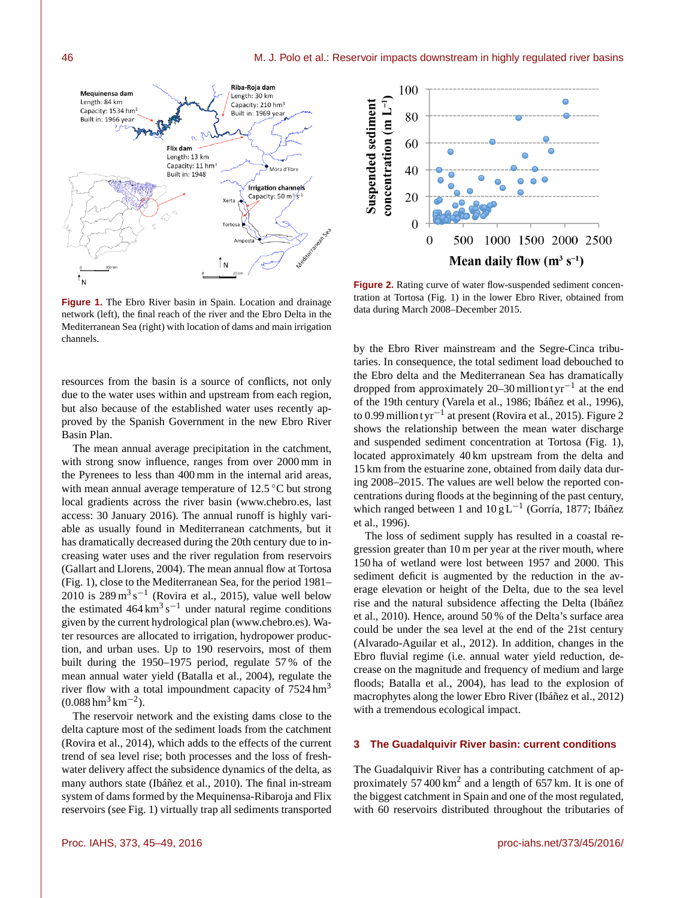**Figure 1.** The Ebro River basin in Spain. Location and drainage network (left), the final reach of the river and the Ebro Delta in the Mediterranean Sea (right) with location of dams and main irrigation channels.

Flix dam Length: 13 km

Capacity: 11 hm<sup>3</sup>

**Built in: 1948** 

Riba-Roia dam

Length: 30 km

Xerta

Torto

| N

Capacity: 210 hm<sup>3</sup>

Built in: 1969 vear

Móra d'Ebre

Irrigation channels Capacity: 50 m<sup>3</sup>/s<sup>-1</sup>

resources from the basin is a source of conflicts, not only due to the water uses within and upstream from each region, but also because of the established water uses recently approved by the Spanish Government in the new Ebro River Basin Plan.

The mean annual average precipitation in the catchment, with strong snow influence, ranges from over 2000 mm in the Pyrenees to less than 400 mm in the internal arid areas, with mean annual average temperature of 12.5 °C but strong local gradients across the river basin [\(www.chebro.es,](www.chebro.es) last access: 30 January 2016). The annual runoff is highly variable as usually found in Mediterranean catchments, but it has dramatically decreased during the 20th century due to increasing water uses and the river regulation from reservoirs (Gallart and Llorens, 2004). The mean annual flow at Tortosa (Fig. 1), close to the Mediterranean Sea, for the period 1981–  $2010$  is  $289 \text{ m}^3 \text{ s}^{-1}$  (Rovira et al., 2015), value well below the estimated  $464 \text{ km}^3 \text{ s}^{-1}$  under natural regime conditions given by the current hydrological plan [\(www.chebro.es\)](www.chebro.es). Water resources are allocated to irrigation, hydropower production, and urban uses. Up to 190 reservoirs, most of them built during the 1950–1975 period, regulate 57 % of the mean annual water yield (Batalla et al., 2004), regulate the river flow with a total impoundment capacity of  $7524 \text{ hm}^3$  $(0.088 \text{ hm}^3 \text{ km}^{-2}).$ 

The reservoir network and the existing dams close to the delta capture most of the sediment loads from the catchment (Rovira et al., 2014), which adds to the effects of the current trend of sea level rise; both processes and the loss of freshwater delivery affect the subsidence dynamics of the delta, as many authors state (Ibáñez et al., 2010). The final in-stream system of dams formed by the Mequinensa-Ribaroja and Flix reservoirs (see Fig. 1) virtually trap all sediments transported



**Figure 2.** Rating curve of water flow-suspended sediment concentration at Tortosa (Fig. 1) in the lower Ebro River, obtained from data during March 2008–December 2015.

by the Ebro River mainstream and the Segre-Cinca tributaries. In consequence, the total sediment load debouched to the Ebro delta and the Mediterranean Sea has dramatically dropped from approximately 20–30 million tyr<sup>-1</sup> at the end of the 19th century (Varela et al., 1986; Ibáñez et al., 1996), to 0.99 million t yr−<sup>1</sup> at present (Rovira et al., 2015). Figure 2 shows the relationship between the mean water discharge and suspended sediment concentration at Tortosa (Fig. 1), located approximately 40 km upstream from the delta and 15 km from the estuarine zone, obtained from daily data during 2008–2015. The values are well below the reported concentrations during floods at the beginning of the past century, which ranged between 1 and 10 g L<sup>-1</sup> (Gorría, 1877; Ibáñez et al., 1996).

The loss of sediment supply has resulted in a coastal regression greater than 10 m per year at the river mouth, where 150 ha of wetland were lost between 1957 and 2000. This sediment deficit is augmented by the reduction in the average elevation or height of the Delta, due to the sea level rise and the natural subsidence affecting the Delta (Ibáñez et al., 2010). Hence, around 50 % of the Delta's surface area could be under the sea level at the end of the 21st century (Alvarado-Aguilar et al., 2012). In addition, changes in the Ebro fluvial regime (i.e. annual water yield reduction, decrease on the magnitude and frequency of medium and large floods; Batalla et al., 2004), has lead to the explosion of macrophytes along the lower Ebro River (Ibáñez et al., 2012) with a tremendous ecological impact.

### **3 The Guadalquivir River basin: current conditions**

The Guadalquivir River has a contributing catchment of approximately 57 400  $\text{km}^2$  and a length of 657 km. It is one of the biggest catchment in Spain and one of the most regulated, with 60 reservoirs distributed throughout the tributaries of

Mequinensa dam

Capacity: 1534 hm<sup>3</sup>

Built in: 1966 year

Length: 84 km

 $^{\uparrow}$  N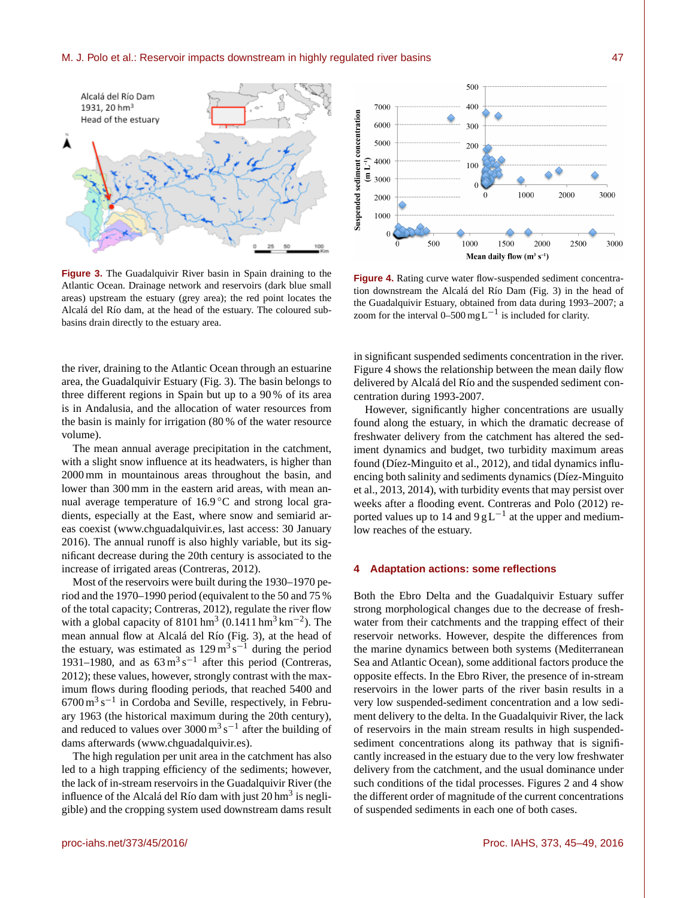#### M. J. Polo et al.: Reservoir impacts downstream in highly regulated river basins 47



**Figure 3.** The Guadalquivir River basin in Spain draining to the Atlantic Ocean. Drainage network and reservoirs (dark blue small areas) upstream the estuary (grey area); the red point locates the Alcalá del Río dam, at the head of the estuary. The coloured subbasins drain directly to the estuary area.

the river, draining to the Atlantic Ocean through an estuarine area, the Guadalquivir Estuary (Fig. 3). The basin belongs to three different regions in Spain but up to a 90 % of its area is in Andalusia, and the allocation of water resources from the basin is mainly for irrigation (80 % of the water resource volume).

The mean annual average precipitation in the catchment, with a slight snow influence at its headwaters, is higher than 2000 mm in mountainous areas throughout the basin, and lower than 300 mm in the eastern arid areas, with mean annual average temperature of 16.9 ℃ and strong local gradients, especially at the East, where snow and semiarid areas coexist [\(www.chguadalquivir.es,](www.chguadalquivir.es) last access: 30 January 2016). The annual runoff is also highly variable, but its significant decrease during the 20th century is associated to the increase of irrigated areas (Contreras, 2012).

Most of the reservoirs were built during the 1930–1970 period and the 1970–1990 period (equivalent to the 50 and 75 % of the total capacity; Contreras, 2012), regulate the river flow with a global capacity of  $8101 \text{ hm}^3$  (0.1411 hm<sup>3</sup> km<sup>-2</sup>). The mean annual flow at Alcalá del Río (Fig. 3), at the head of the estuary, was estimated as  $129 \text{ m}^3 \text{ s}^{-1}$  during the period 1931–1980, and as  $63 \text{ m}^3 \text{ s}^{-1}$  after this period (Contreras, 2012); these values, however, strongly contrast with the maximum flows during flooding periods, that reached 5400 and  $6700 \,\mathrm{m^3\,s^{-1}}$  in Cordoba and Seville, respectively, in February 1963 (the historical maximum during the 20th century), and reduced to values over  $3000 \text{ m}^3 \text{ s}^{-1}$  after the building of dams afterwards [\(www.chguadalquivir.es\)](www.chguadalquivir.es).

The high regulation per unit area in the catchment has also led to a high trapping efficiency of the sediments; however, the lack of in-stream reservoirs in the Guadalquivir River (the influence of the Alcalá del Río dam with just  $20 \text{ hm}^3$  is negligible) and the cropping system used downstream dams result



**Figure 4.** Rating curve water flow-suspended sediment concentration downstream the Alcalá del Río Dam (Fig. 3) in the head of the Guadalquivir Estuary, obtained from data during 1993–2007; a zoom for the interval 0–500 mg L<sup>-1</sup> is included for clarity.

in significant suspended sediments concentration in the river. Figure 4 shows the relationship between the mean daily flow delivered by Alcalá del Río and the suspended sediment concentration during 1993-2007.

However, significantly higher concentrations are usually found along the estuary, in which the dramatic decrease of freshwater delivery from the catchment has altered the sediment dynamics and budget, two turbidity maximum areas found (Díez-Minguito et al., 2012), and tidal dynamics influencing both salinity and sediments dynamics (Díez-Minguito et al., 2013, 2014), with turbidity events that may persist over weeks after a flooding event. Contreras and Polo (2012) reported values up to 14 and  $9 g L^{-1}$  at the upper and mediumlow reaches of the estuary.

#### **4 Adaptation actions: some reflections**

Both the Ebro Delta and the Guadalquivir Estuary suffer strong morphological changes due to the decrease of freshwater from their catchments and the trapping effect of their reservoir networks. However, despite the differences from the marine dynamics between both systems (Mediterranean Sea and Atlantic Ocean), some additional factors produce the opposite effects. In the Ebro River, the presence of in-stream reservoirs in the lower parts of the river basin results in a very low suspended-sediment concentration and a low sediment delivery to the delta. In the Guadalquivir River, the lack of reservoirs in the main stream results in high suspendedsediment concentrations along its pathway that is significantly increased in the estuary due to the very low freshwater delivery from the catchment, and the usual dominance under such conditions of the tidal processes. Figures 2 and 4 show the different order of magnitude of the current concentrations of suspended sediments in each one of both cases.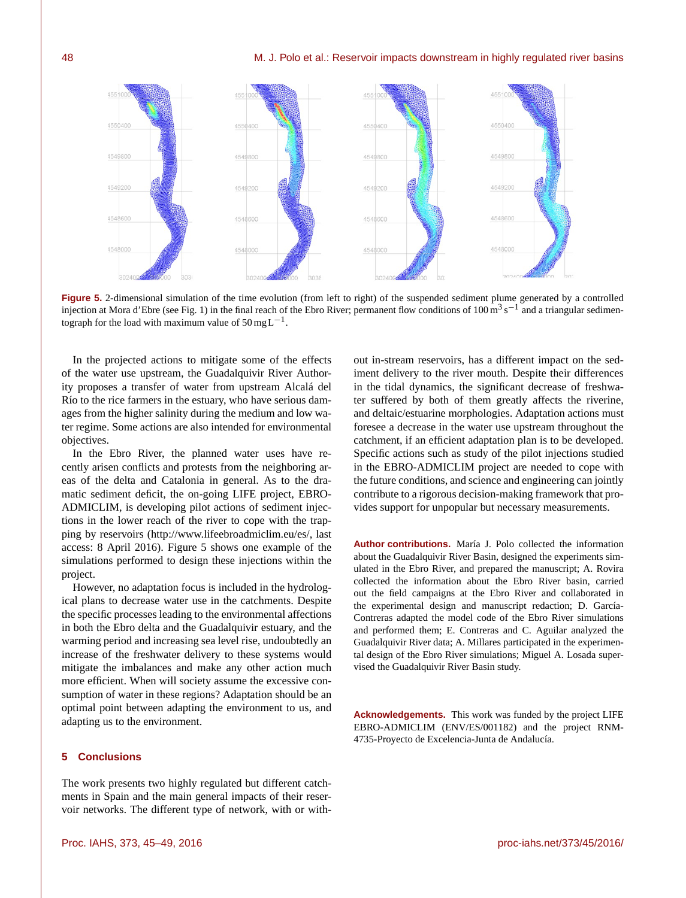

**Figure 5.** 2-dimensional simulation of the time evolution (from left to right) of the suspended sediment plume generated by a controlled injection at Mora d'Ebre (see Fig. 1) in the final reach of the Ebro River; permanent flow conditions of  $100 \text{ m}^3 \text{ s}^{-1}$  and a triangular sedimentograph for the load with maximum value of  $50 \text{ mgL}^{-1}$ .

In the projected actions to mitigate some of the effects of the water use upstream, the Guadalquivir River Authority proposes a transfer of water from upstream Alcalá del Río to the rice farmers in the estuary, who have serious damages from the higher salinity during the medium and low water regime. Some actions are also intended for environmental objectives.

In the Ebro River, the planned water uses have recently arisen conflicts and protests from the neighboring areas of the delta and Catalonia in general. As to the dramatic sediment deficit, the on-going LIFE project, EBRO-ADMICLIM, is developing pilot actions of sediment injections in the lower reach of the river to cope with the trapping by reservoirs [\(http://www.lifeebroadmiclim.eu/es/,](http://www.lifeebroadmiclim.eu/es/) last access: 8 April 2016). Figure 5 shows one example of the simulations performed to design these injections within the project.

However, no adaptation focus is included in the hydrological plans to decrease water use in the catchments. Despite the specific processes leading to the environmental affections in both the Ebro delta and the Guadalquivir estuary, and the warming period and increasing sea level rise, undoubtedly an increase of the freshwater delivery to these systems would mitigate the imbalances and make any other action much more efficient. When will society assume the excessive consumption of water in these regions? Adaptation should be an optimal point between adapting the environment to us, and adapting us to the environment.

## **5 Conclusions**

The work presents two highly regulated but different catchments in Spain and the main general impacts of their reservoir networks. The different type of network, with or with-

out in-stream reservoirs, has a different impact on the sediment delivery to the river mouth. Despite their differences in the tidal dynamics, the significant decrease of freshwater suffered by both of them greatly affects the riverine, and deltaic/estuarine morphologies. Adaptation actions must foresee a decrease in the water use upstream throughout the catchment, if an efficient adaptation plan is to be developed. Specific actions such as study of the pilot injections studied in the EBRO-ADMICLIM project are needed to cope with the future conditions, and science and engineering can jointly contribute to a rigorous decision-making framework that provides support for unpopular but necessary measurements.

**Author contributions.** María J. Polo collected the information about the Guadalquivir River Basin, designed the experiments simulated in the Ebro River, and prepared the manuscript; A. Rovira collected the information about the Ebro River basin, carried out the field campaigns at the Ebro River and collaborated in the experimental design and manuscript redaction; D. García-Contreras adapted the model code of the Ebro River simulations and performed them; E. Contreras and C. Aguilar analyzed the Guadalquivir River data; A. Millares participated in the experimental design of the Ebro River simulations; Miguel A. Losada supervised the Guadalquivir River Basin study.

**Acknowledgements.** This work was funded by the project LIFE EBRO-ADMICLIM (ENV/ES/001182) and the project RNM-4735-Proyecto de Excelencia-Junta de Andalucía.